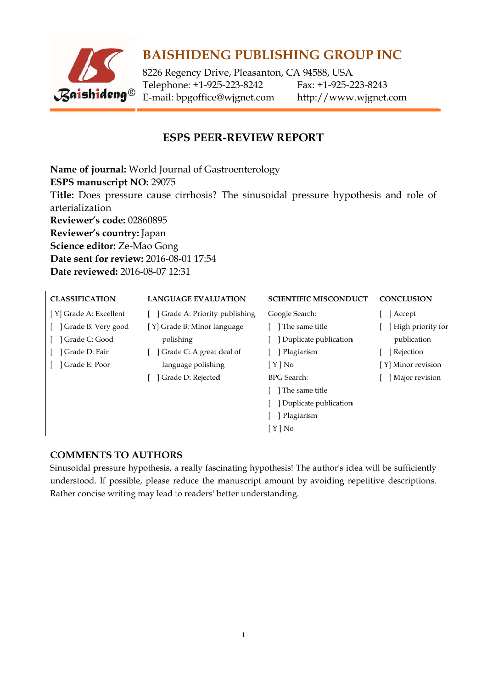

# **BAISHIDENG PUBLISHING GROUP INC**

8226 Regency Drive, Pleasanton, CA 94588, USA Telephone: +1-925-223-8242 E-mail: bpgoffice@wjgnet.com

Fax: +1-925-223-8243 http://www.wjgnet.com

## **ESPS PEER-REVIEW REPORT**

Name of journal: World Journal of Gastroenterology ESPS manuscript NO: 29075 Title: Does pressure cause cirrhosis? The sinusoidal pressure hypothesis and role of arterialization **Reviewer's code: 02860895** Reviewer's country: Japan Science editor: Ze-Mao Gong Date sent for review: 2016-08-01 17:54 Date reviewed: 2016-08-07 12:31

| <b>CLASSIFICATION</b>  | <b>LANGUAGE EVALUATION</b>   | <b>SCIENTIFIC MISCONDUCT</b> | <b>CONCLUSION</b>  |
|------------------------|------------------------------|------------------------------|--------------------|
| [Y] Grade A: Excellent | Grade A: Priority publishing | Google Search:               | Accept             |
| ] Grade B: Very good   | [Y] Grade B: Minor language  | The same title               | High priority for  |
| Grade C: Good          | polishing                    | Duplicate publication        | publication        |
| Grade D: Fair          | Grade C: A great deal of     | Plagiarism                   | Rejection          |
| Grade E: Poor          | language polishing           | $[Y]$ No                     | [Y] Minor revision |
|                        | Grade D: Rejected            | <b>BPG</b> Search:           | Major revision     |
|                        |                              | The same title               |                    |
|                        |                              | Duplicate publication        |                    |
|                        |                              | Plagiarism                   |                    |
|                        |                              | $[Y]$ No                     |                    |

### **COMMENTS TO AUTHORS**

Sinusoidal pressure hypothesis, a really fascinating hypothesis! The author's idea will be sufficiently understood. If possible, please reduce the manuscript amount by avoiding repetitive descriptions. Rather concise writing may lead to readers' better understanding.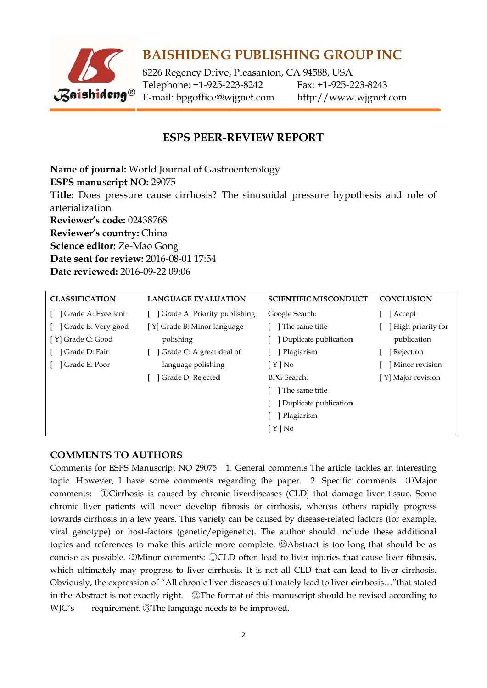

## **BAISHIDENG PUBLISHING GROUP INC**

8226 Regency Drive, Pleasanton, CA 94588, USA Telephone: +1-925-223-8242 Fax: +1-925-223-8243 E-mail: bpgoffice@wjgnet.com http://www.wjgnet.com

### **ESPS PEER-REVIEW REPORT**

Name of journal: World Journal of Gastroenterology ESPS manuscript NO: 29075 Title: Does pressure cause cirrhosis? The sinusoidal pressure hypothesis and role of arterialization Reviewer's code: 02438768 Reviewer's country: China Science editor: Ze-Mao Gong **Date sent for review: 2016-08-01 17:54** Date reviewed: 2016-09-22 09:06

| <b>CLASSIFICATION</b> | <b>LANGUAGE EVALUATION</b>   | <b>SCIENTIFIC MISCONDUCT</b> | <b>CONCLUSION</b>  |
|-----------------------|------------------------------|------------------------------|--------------------|
| Grade A: Excellent    | Grade A: Priority publishing | Google Search:               | Accept             |
| Grade B: Very good    | [Y] Grade B: Minor language  | l The same title             | High priority for  |
| [ Y] Grade C: Good    | polishing                    | Duplicate publication        | publication        |
| Grade D: Fair         | Grade C: A great deal of     | ] Plagiarism                 | <b>Rejection</b>   |
| Grade E: Poor         | language polishing           | $[ Y ]$ No                   | Minor revision     |
|                       | Grade D: Rejected            | <b>BPG</b> Search:           | [Y] Major revision |
|                       |                              | The same title               |                    |
|                       |                              | Duplicate publication        |                    |
|                       |                              | Plagiarism                   |                    |
|                       |                              | $[ Y ]$ No                   |                    |

### **COMMENTS TO AUTHORS**

Comments for ESPS Manuscript NO 29075 1. General comments The article tackles an interesting topic. However, I have some comments regarding the paper. 2. Specific comments (1)Major comments: ①Cirrhosis is caused by chronic liverdiseases (CLD) that damage liver tissue. Some chronic liver patients will never develop fibrosis or cirrhosis, whereas others rapidly progress towards cirrhosis in a few years. This variety can be caused by disease-related factors (for example, viral genotype) or host-factors (genetic/epigenetic). The author should include these additional topics and references to make this article more complete. 2 Abstract is too long that should be as concise as possible. (2)Minor comments: ①CLD often lead to liver injuries that cause liver fibrosis, which ultimately may progress to liver cirrhosis. It is not all CLD that can lead to liver cirrhosis. Obviously, the expression of "All chronic liver diseases ultimately lead to liver cirrhosis..." that stated in the Abstract is not exactly right. QThe format of this manuscript should be revised according to WJG's requirement. The language needs to be improved.